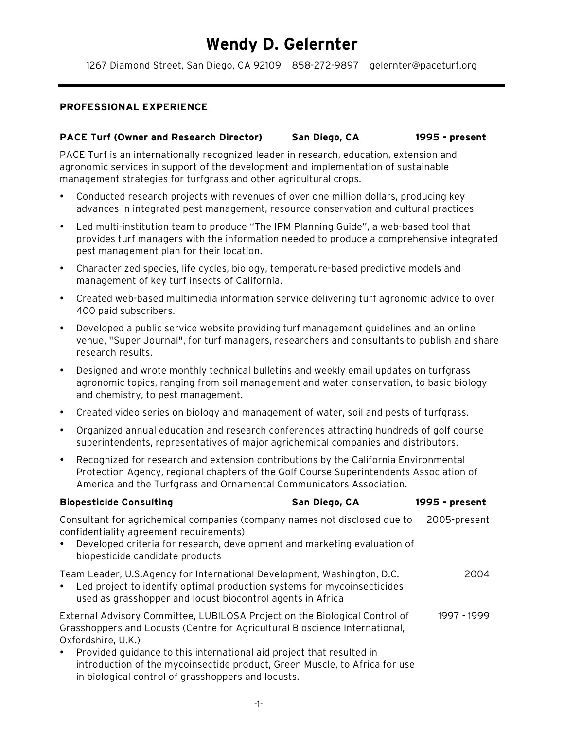# **Wendy D. Gelernter**

1267 Diamond Street, San Diego, CA 92109 858-272-9897 gelernter@paceturf.org

#### **PROFESSIONAL EXPERIENCE**

#### **PACE Turf (Owner and Research Director) San Diego, CA 1995 - present**

PACE Turf is an internationally recognized leader in research, education, extension and agronomic services in support of the development and implementation of sustainable management strategies for turfgrass and other agricultural crops.

- Conducted research projects with revenues of over one million dollars, producing key advances in integrated pest management, resource conservation and cultural practices
- Led multi-institution team to produce "The IPM Planning Guide", a web-based tool that provides turf managers with the information needed to produce a comprehensive integrated pest management plan for their location.
- Characterized species, life cycles, biology, temperature-based predictive models and management of key turf insects of California.
- Created web-based multimedia information service delivering turf agronomic advice to over 400 paid subscribers.
- Developed a public service website providing turf management guidelines and an online venue, "Super Journal", for turf managers, researchers and consultants to publish and share research results.
- Designed and wrote monthly technical bulletins and weekly email updates on turfgrass agronomic topics, ranging from soil management and water conservation, to basic biology and chemistry, to pest management.
- Created video series on biology and management of water, soil and pests of turfgrass.
- Organized annual education and research conferences attracting hundreds of golf course superintendents, representatives of major agrichemical companies and distributors.
- Recognized for research and extension contributions by the California Environmental Protection Agency, regional chapters of the Golf Course Superintendents Association of America and the Turfgrass and Ornamental Communicators Association.

| <b>Biopesticide Consulting</b>                                                                                                                                                                                                                                                                                                                                                              | San Diego, CA | 1995 - present |
|---------------------------------------------------------------------------------------------------------------------------------------------------------------------------------------------------------------------------------------------------------------------------------------------------------------------------------------------------------------------------------------------|---------------|----------------|
| Consultant for agrichemical companies (company names not disclosed due to<br>confidentiality agreement requirements)<br>Developed criteria for research, development and marketing evaluation of<br>biopesticide candidate products                                                                                                                                                         |               | 2005-present   |
| Team Leader, U.S.Agency for International Development, Washington, D.C.<br>Led project to identify optimal production systems for mycoinsecticides<br>used as grasshopper and locust biocontrol agents in Africa                                                                                                                                                                            |               | 2004           |
| External Advisory Committee, LUBILOSA Project on the Biological Control of<br>Grasshoppers and Locusts (Centre for Agricultural Bioscience International,<br>Oxfordshire, U.K.)<br>Provided guidance to this international aid project that resulted in<br>introduction of the mycoinsectide product, Green Muscle, to Africa for use<br>in biological control of grasshoppers and locusts. |               | 1997 - 1999    |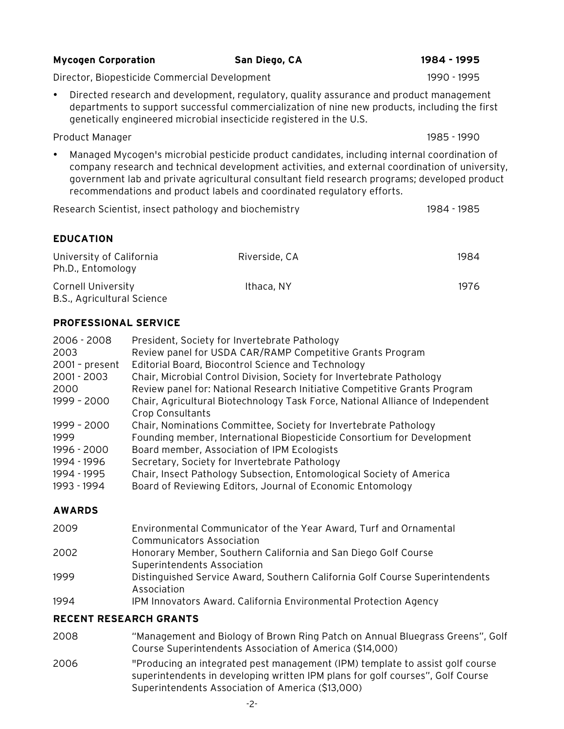# **Mycogen Corporation San Diego, CA 1984 - 1995**

Director, Biopesticide Commercial Development 1990 - 1995

• Directed research and development, regulatory, quality assurance and product management departments to support successful commercialization of nine new products, including the first genetically engineered microbial insecticide registered in the U.S.

Product Manager 1985 - 1990

• Managed Mycogen's microbial pesticide product candidates, including internal coordination of company research and technical development activities, and external coordination of university, government lab and private agricultural consultant field research programs; developed product recommendations and product labels and coordinated regulatory efforts.

Research Scientist, insect pathology and biochemistry 1984 - 1985

#### **EDUCATION**

| University of California<br>Ph.D., Entomology    | Riverside, CA | 1984 |
|--------------------------------------------------|---------------|------|
| Cornell University<br>B.S., Agricultural Science | Ithaca, NY    | 1976 |

#### **PROFESSIONAL SERVICE**

| 2006 - 2008<br>2003 | President, Society for Invertebrate Pathology<br>Review panel for USDA CAR/RAMP Competitive Grants Program |
|---------------------|------------------------------------------------------------------------------------------------------------|
| 2001 - present      | Editorial Board, Biocontrol Science and Technology                                                         |
| 2001 - 2003         | Chair, Microbial Control Division, Society for Invertebrate Pathology                                      |
| 2000                | Review panel for: National Research Initiative Competitive Grants Program                                  |
| 1999 - 2000         | Chair, Agricultural Biotechnology Task Force, National Alliance of Independent                             |
|                     | <b>Crop Consultants</b>                                                                                    |
| 1999 - 2000         | Chair, Nominations Committee, Society for Invertebrate Pathology                                           |
| 1999                | Founding member, International Biopesticide Consortium for Development                                     |
| 1996 - 2000         | Board member, Association of IPM Ecologists                                                                |
| 1994 - 1996         | Secretary, Society for Invertebrate Pathology                                                              |
| 1994 - 1995         | Chair, Insect Pathology Subsection, Entomological Society of America                                       |
| 1993 - 1994         | Board of Reviewing Editors, Journal of Economic Entomology                                                 |

#### **AWARDS**

- 2009 Environmental Communicator of the Year Award, Turf and Ornamental Communicators Association 2002 Honorary Member, Southern California and San Diego Golf Course
- Superintendents Association
- 1999 Distinguished Service Award, Southern California Golf Course Superintendents Association
- 1994 IPM Innovators Award. California Environmental Protection Agency

#### **RECENT RESEARCH GRANTS**

- 2008 "Management and Biology of Brown Ring Patch on Annual Bluegrass Greens", Golf Course Superintendents Association of America (\$14,000)
- 2006 "Producing an integrated pest management (IPM) template to assist golf course superintendents in developing written IPM plans for golf courses", Golf Course Superintendents Association of America (\$13,000)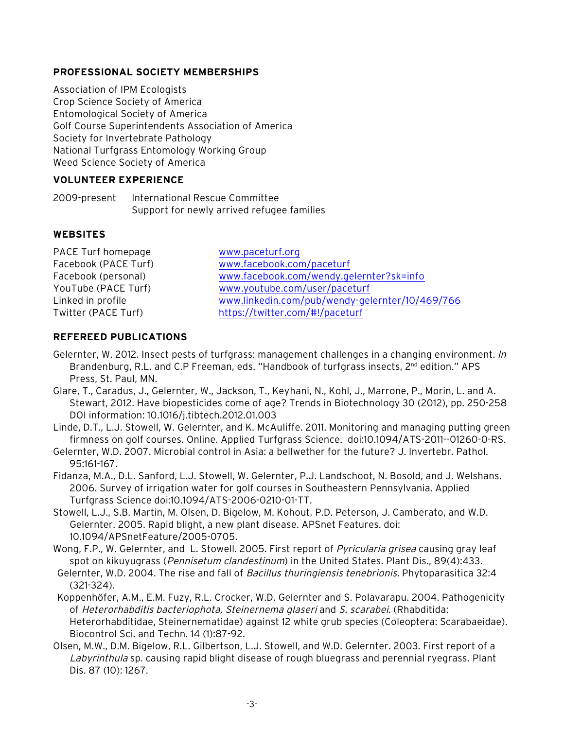#### **PROFESSIONAL SOCIETY MEMBERSHIPS**

Association of IPM Ecologists Crop Science Society of America Entomological Society of America Golf Course Superintendents Association of America Society for Invertebrate Pathology National Turfgrass Entomology Working Group Weed Science Society of America

## **VOLUNTEER EXPERIENCE**

2009-present International Rescue Committee Support for newly arrived refugee families

## **WEBSITES**

| PACE Turf homepage   | www.paceturf.org                                |
|----------------------|-------------------------------------------------|
| Facebook (PACE Turf) | www.facebook.com/paceturf                       |
| Facebook (personal)  | www.facebook.com/wendy.gelernter?sk=info        |
| YouTube (PACE Turf)  | www.youtube.com/user/paceturf                   |
| Linked in profile    | www.linkedin.com/pub/wendy-gelernter/10/469/766 |
| Twitter (PACE Turf)  | https://twitter.com/#!/paceturf                 |
|                      |                                                 |

## **REFEREED PUBLICATIONS**

- Gelernter, W. 2012. Insect pests of turfgrass: management challenges in a changing environment. In Brandenburg, R.L. and C.P Freeman, eds. "Handbook of turfgrass insects,  $2^{nd}$  edition." APS Press, St. Paul, MN.
- Glare, T., Caradus, J., Gelernter, W., Jackson, T., Keyhani, N., Kohl, J., Marrone, P., Morin, L. and A. Stewart, 2012. Have biopesticides come of age? Trends in Biotechnology 30 (2012), pp. 250-258 DOI information: 10.1016/j.tibtech.2012.01.003

Linde, D.T., L.J. Stowell, W. Gelernter, and K. McAuliffe. 2011. Monitoring and managing putting green firmness on golf courses. Online. Applied Turfgrass Science. doi:10.1094/ATS-2011--01260-0-RS.

Gelernter, W.D. 2007. Microbial control in Asia: a bellwether for the future? J. Invertebr. Pathol. 95:161-167.

Fidanza, M.A., D.L. Sanford, L.J. Stowell, W. Gelernter, P.J. Landschoot, N. Bosold, and J. Welshans. 2006. Survey of irrigation water for golf courses in Southeastern Pennsylvania. Applied Turfgrass Science doi:10.1094/ATS-2006-0210-01-TT.

Stowell, L.J., S.B. Martin, M. Olsen, D. Bigelow, M. Kohout, P.D. Peterson, J. Camberato, and W.D. Gelernter. 2005. Rapid blight, a new plant disease. APSnet Features. doi: 10.1094/APSnetFeature/2005-0705.

Wong, F.P., W. Gelernter, and L. Stowell. 2005. First report of *Pyricularia grisea* causing gray leaf spot on kikuyugrass (Pennisetum clandestinum) in the United States. Plant Dis., 89(4):433.

- Gelernter, W.D. 2004. The rise and fall of Bacillus thuringiensis tenebrionis. Phytoparasitica 32:4 (321-324).
- Koppenhöfer, A.M., E.M. Fuzy, R.L. Crocker, W.D. Gelernter and S. Polavarapu. 2004. Pathogenicity of Heterorhabditis bacteriophota, Steinernema glaseri and S. scarabei. (Rhabditida: Heterorhabditidae, Steinernematidae) against 12 white grub species (Coleoptera: Scarabaeidae). Biocontrol Sci. and Techn. 14 (1):87-92.
- Olsen, M.W., D.M. Bigelow, R.L. Gilbertson, L.J. Stowell, and W.D. Gelernter. 2003. First report of a Labyrinthula sp. causing rapid blight disease of rough bluegrass and perennial ryegrass. Plant Dis. 87 (10): 1267.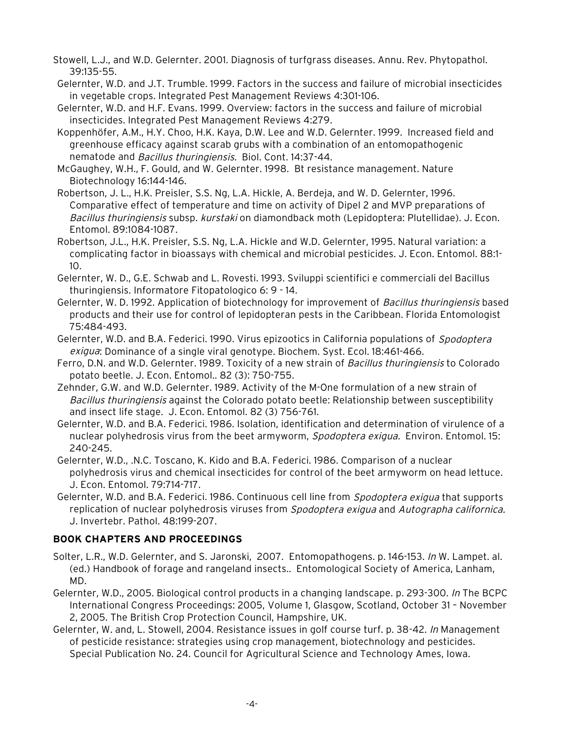- Stowell, L.J., and W.D. Gelernter. 2001. Diagnosis of turfgrass diseases. Annu. Rev. Phytopathol. 39:135-55.
- Gelernter, W.D. and J.T. Trumble. 1999. Factors in the success and failure of microbial insecticides in vegetable crops. Integrated Pest Management Reviews 4:301-106.
- Gelernter, W.D. and H.F. Evans. 1999. Overview: factors in the success and failure of microbial insecticides. Integrated Pest Management Reviews 4:279.
- Koppenhöfer, A.M., H.Y. Choo, H.K. Kaya, D.W. Lee and W.D. Gelernter. 1999. Increased field and greenhouse efficacy against scarab grubs with a combination of an entomopathogenic nematode and Bacillus thuringiensis. Biol. Cont. 14:37-44.
- McGaughey, W.H., F. Gould, and W. Gelernter. 1998. Bt resistance management. Nature Biotechnology 16:144-146.
- Robertson, J. L., H.K. Preisler, S.S. Ng, L.A. Hickle, A. Berdeja, and W. D. Gelernter, 1996. Comparative effect of temperature and time on activity of Dipel 2 and MVP preparations of Bacillus thuringiensis subsp. kurstaki on diamondback moth (Lepidoptera: Plutellidae). J. Econ. Entomol. 89:1084-1087.
- Robertson, J.L., H.K. Preisler, S.S. Ng, L.A. Hickle and W.D. Gelernter, 1995. Natural variation: a complicating factor in bioassays with chemical and microbial pesticides. J. Econ. Entomol. 88:1- 10.
- Gelernter, W. D., G.E. Schwab and L. Rovesti. 1993. Sviluppi scientifici e commerciali del Bacillus thuringiensis. Informatore Fitopatologico 6: 9 - 14.
- Gelernter, W. D. 1992. Application of biotechnology for improvement of Bacillus thuringiensis based products and their use for control of lepidopteran pests in the Caribbean. Florida Entomologist 75:484-493.
- Gelernter, W.D. and B.A. Federici. 1990. Virus epizootics in California populations of Spodoptera exigua: Dominance of a single viral genotype. Biochem. Syst. Ecol. 18:461-466.
- Ferro, D.N. and W.D. Gelernter. 1989. Toxicity of a new strain of Bacillus thuringiensis to Colorado potato beetle. J. Econ. Entomol.. 82 (3): 750-755.
- Zehnder, G.W. and W.D. Gelernter. 1989. Activity of the M-One formulation of a new strain of Bacillus thuringiensis against the Colorado potato beetle: Relationship between susceptibility and insect life stage. J. Econ. Entomol. 82 (3) 756-761.
- Gelernter, W.D. and B.A. Federici. 1986. Isolation, identification and determination of virulence of a nuclear polyhedrosis virus from the beet armyworm, Spodoptera exigua. Environ. Entomol. 15: 240-245.
- Gelernter, W.D., .N.C. Toscano, K. Kido and B.A. Federici. 1986. Comparison of a nuclear polyhedrosis virus and chemical insecticides for control of the beet armyworm on head lettuce. J. Econ. Entomol. 79:714-717.
- Gelernter, W.D. and B.A. Federici. 1986. Continuous cell line from *Spodoptera exiqua* that supports replication of nuclear polyhedrosis viruses from Spodoptera exigua and Autographa californica. J. Invertebr. Pathol. 48:199-207.

# **BOOK CHAPTERS AND PROCEEDINGS**

- Solter, L.R., W.D. Gelernter, and S. Jaronski, 2007. Entomopathogens. p. 146-153. In W. Lampet. al. (ed.) Handbook of forage and rangeland insects.. Entomological Society of America, Lanham, MD.
- Gelernter, W.D., 2005. Biological control products in a changing landscape. p. 293-300. In The BCPC International Congress Proceedings: 2005, Volume 1, Glasgow, Scotland, October 31 – November 2, 2005. The British Crop Protection Council, Hampshire, UK.
- Gelernter, W. and, L. Stowell, 2004. Resistance issues in golf course turf. p. 38-42. In Management of pesticide resistance: strategies using crop management, biotechnology and pesticides. Special Publication No. 24. Council for Agricultural Science and Technology Ames, Iowa.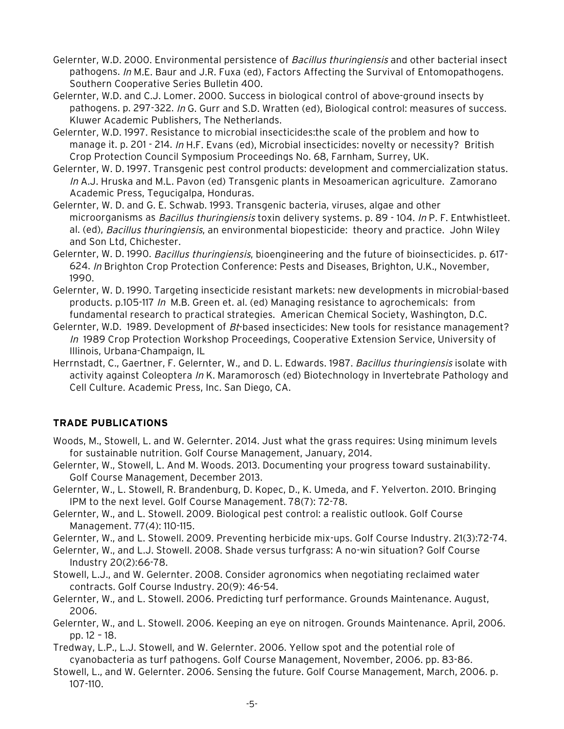- Gelernter, W.D. 2000. Environmental persistence of Bacillus thuringiensis and other bacterial insect pathogens. In M.E. Baur and J.R. Fuxa (ed), Factors Affecting the Survival of Entomopathogens. Southern Cooperative Series Bulletin 400.
- Gelernter, W.D. and C.J. Lomer. 2000. Success in biological control of above-ground insects by pathogens. p. 297-322. In G. Gurr and S.D. Wratten (ed), Biological control: measures of success. Kluwer Academic Publishers, The Netherlands.
- Gelernter, W.D. 1997. Resistance to microbial insecticides:the scale of the problem and how to manage it. p. 201 - 214. In H.F. Evans (ed), Microbial insecticides: novelty or necessity? British Crop Protection Council Symposium Proceedings No. 68, Farnham, Surrey, UK.
- Gelernter, W. D. 1997. Transgenic pest control products: development and commercialization status. In A.J. Hruska and M.L. Pavon (ed) Transgenic plants in Mesoamerican agriculture. Zamorano Academic Press, Tegucigalpa, Honduras.
- Gelernter, W. D. and G. E. Schwab. 1993. Transgenic bacteria, viruses, algae and other microorganisms as *Bacillus thuringiensis* toxin delivery systems. p. 89 - 104. In P. F. Entwhistleet. al. (ed), Bacillus thuringiensis, an environmental biopesticide: theory and practice. John Wiley and Son Ltd, Chichester.
- Gelernter, W. D. 1990. *Bacillus thuringiensis*, bioengineering and the future of bioinsecticides. p. 617-624. In Brighton Crop Protection Conference: Pests and Diseases, Brighton, U.K., November, 1990.
- Gelernter, W. D. 1990. Targeting insecticide resistant markets: new developments in microbial-based products. p.105-117 In M.B. Green et. al. (ed) Managing resistance to agrochemicals: from fundamental research to practical strategies. American Chemical Society, Washington, D.C.
- Gelernter, W.D. 1989. Development of Bt-based insecticides: New tools for resistance management? In 1989 Crop Protection Workshop Proceedings, Cooperative Extension Service, University of Illinois, Urbana-Champaign, IL
- Herrnstadt, C., Gaertner, F. Gelernter, W., and D. L. Edwards. 1987. Bacillus thuringiensis isolate with activity against Coleoptera In K. Maramorosch (ed) Biotechnology in Invertebrate Pathology and Cell Culture. Academic Press, Inc. San Diego, CA.

# **TRADE PUBLICATIONS**

- Woods, M., Stowell, L. and W. Gelernter. 2014. Just what the grass requires: Using minimum levels for sustainable nutrition. Golf Course Management, January, 2014.
- Gelernter, W., Stowell, L. And M. Woods. 2013. Documenting your progress toward sustainability. Golf Course Management, December 2013.
- Gelernter, W., L. Stowell, R. Brandenburg, D. Kopec, D., K. Umeda, and F. Yelverton. 2010. Bringing IPM to the next level. Golf Course Management. 78(7): 72-78.
- Gelernter, W., and L. Stowell. 2009. Biological pest control: a realistic outlook. Golf Course Management. 77(4): 110-115.
- Gelernter, W., and L. Stowell. 2009. Preventing herbicide mix-ups. Golf Course Industry. 21(3):72-74.
- Gelernter, W., and L.J. Stowell. 2008. Shade versus turfgrass: A no-win situation? Golf Course Industry 20(2):66-78.
- Stowell, L.J., and W. Gelernter. 2008. Consider agronomics when negotiating reclaimed water contracts. Golf Course Industry. 20(9): 46-54.
- Gelernter, W., and L. Stowell. 2006. Predicting turf performance. Grounds Maintenance. August, 2006.
- Gelernter, W., and L. Stowell. 2006. Keeping an eye on nitrogen. Grounds Maintenance. April, 2006. pp. 12 – 18.
- Tredway, L.P., L.J. Stowell, and W. Gelernter. 2006. Yellow spot and the potential role of cyanobacteria as turf pathogens. Golf Course Management, November, 2006. pp. 83-86.
- Stowell, L., and W. Gelernter. 2006. Sensing the future. Golf Course Management, March, 2006. p. 107-110.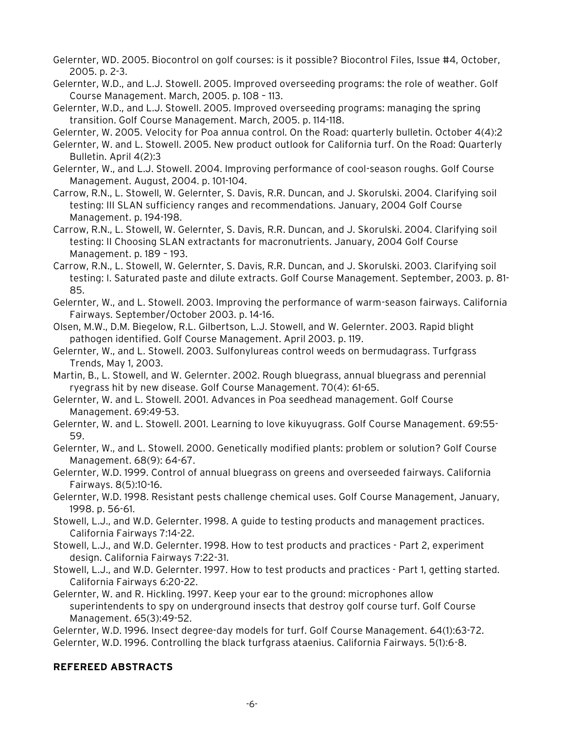- Gelernter, WD. 2005. Biocontrol on golf courses: is it possible? Biocontrol Files, Issue #4, October, 2005. p. 2-3.
- Gelernter, W.D., and L.J. Stowell. 2005. Improved overseeding programs: the role of weather. Golf Course Management. March, 2005. p. 108 – 113.
- Gelernter, W.D., and L.J. Stowell. 2005. Improved overseeding programs: managing the spring transition. Golf Course Management. March, 2005. p. 114-118.
- Gelernter, W. 2005. Velocity for Poa annua control. On the Road: quarterly bulletin. October 4(4):2
- Gelernter, W. and L. Stowell. 2005. New product outlook for California turf. On the Road: Quarterly Bulletin. April 4(2):3
- Gelernter, W., and L.J. Stowell. 2004. Improving performance of cool-season roughs. Golf Course Management. August, 2004. p. 101-104.
- Carrow, R.N., L. Stowell, W. Gelernter, S. Davis, R.R. Duncan, and J. Skorulski. 2004. Clarifying soil testing: III SLAN sufficiency ranges and recommendations. January, 2004 Golf Course Management. p. 194-198.

Carrow, R.N., L. Stowell, W. Gelernter, S. Davis, R.R. Duncan, and J. Skorulski. 2004. Clarifying soil testing: II Choosing SLAN extractants for macronutrients. January, 2004 Golf Course Management. p. 189 – 193.

Carrow, R.N., L. Stowell, W. Gelernter, S. Davis, R.R. Duncan, and J. Skorulski. 2003. Clarifying soil testing: I. Saturated paste and dilute extracts. Golf Course Management. September, 2003. p. 81- 85.

Gelernter, W., and L. Stowell. 2003. Improving the performance of warm-season fairways. California Fairways. September/October 2003. p. 14-16.

Olsen, M.W., D.M. Biegelow, R.L. Gilbertson, L.J. Stowell, and W. Gelernter. 2003. Rapid blight pathogen identified. Golf Course Management. April 2003. p. 119.

Gelernter, W., and L. Stowell. 2003. Sulfonylureas control weeds on bermudagrass. Turfgrass Trends, May 1, 2003.

Martin, B., L. Stowell, and W. Gelernter. 2002. Rough bluegrass, annual bluegrass and perennial ryegrass hit by new disease. Golf Course Management. 70(4): 61-65.

Gelernter, W. and L. Stowell. 2001. Advances in Poa seedhead management. Golf Course Management. 69:49-53.

Gelernter, W. and L. Stowell. 2001. Learning to love kikuyugrass. Golf Course Management. 69:55- 59.

Gelernter, W., and L. Stowell. 2000. Genetically modified plants: problem or solution? Golf Course Management. 68(9): 64-67.

Gelernter, W.D. 1999. Control of annual bluegrass on greens and overseeded fairways. California Fairways. 8(5):10-16.

Gelernter, W.D. 1998. Resistant pests challenge chemical uses. Golf Course Management, January, 1998. p. 56-61.

Stowell, L.J., and W.D. Gelernter. 1998. A guide to testing products and management practices. California Fairways 7:14-22.

Stowell, L.J., and W.D. Gelernter. 1998. How to test products and practices - Part 2, experiment design. California Fairways 7:22-31.

Stowell, L.J., and W.D. Gelernter. 1997. How to test products and practices - Part 1, getting started. California Fairways 6:20-22.

Gelernter, W. and R. Hickling. 1997. Keep your ear to the ground: microphones allow superintendents to spy on underground insects that destroy golf course turf. Golf Course Management. 65(3):49-52.

Gelernter, W.D. 1996. Insect degree-day models for turf. Golf Course Management. 64(1):63-72. Gelernter, W.D. 1996. Controlling the black turfgrass ataenius. California Fairways. 5(1):6-8.

#### **REFEREED ABSTRACTS**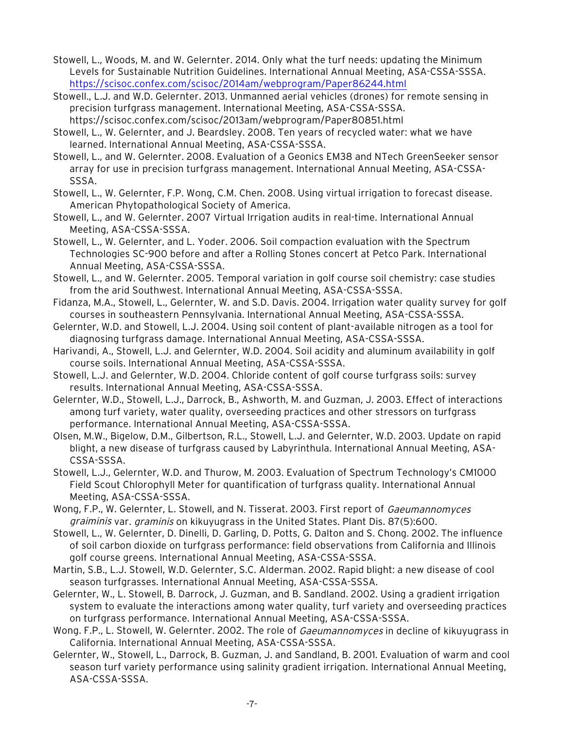- Stowell, L., Woods, M. and W. Gelernter. 2014. Only what the turf needs: updating the Minimum Levels for Sustainable Nutrition Guidelines. International Annual Meeting, ASA-CSSA-SSSA. https://scisoc.confex.com/scisoc/2014am/webprogram/Paper86244.html
- Stowell., L.J. and W.D. Gelernter. 2013. Unmanned aerial vehicles (drones) for remote sensing in precision turfgrass management. International Meeting, ASA-CSSA-SSSA. https://scisoc.confex.com/scisoc/2013am/webprogram/Paper80851.html
- Stowell, L., W. Gelernter, and J. Beardsley. 2008. Ten years of recycled water: what we have learned. International Annual Meeting, ASA-CSSA-SSSA.
- Stowell, L., and W. Gelernter. 2008. Evaluation of a Geonics EM38 and NTech GreenSeeker sensor array for use in precision turfgrass management. International Annual Meeting, ASA-CSSA-SSSA.
- Stowell, L., W. Gelernter, F.P. Wong, C.M. Chen. 2008. Using virtual irrigation to forecast disease. American Phytopathological Society of America.
- Stowell, L., and W. Gelernter. 2007 Virtual Irrigation audits in real-time. International Annual Meeting, ASA-CSSA-SSSA.
- Stowell, L., W. Gelernter, and L. Yoder. 2006. Soil compaction evaluation with the Spectrum Technologies SC-900 before and after a Rolling Stones concert at Petco Park. International Annual Meeting, ASA-CSSA-SSSA.
- Stowell, L., and W. Gelernter. 2005. Temporal variation in golf course soil chemistry: case studies from the arid Southwest. International Annual Meeting, ASA-CSSA-SSSA.
- Fidanza, M.A., Stowell, L., Gelernter, W. and S.D. Davis. 2004. Irrigation water quality survey for golf courses in southeastern Pennsylvania. International Annual Meeting, ASA-CSSA-SSSA.
- Gelernter, W.D. and Stowell, L.J. 2004. Using soil content of plant-available nitrogen as a tool for diagnosing turfgrass damage. International Annual Meeting, ASA-CSSA-SSSA.
- Harivandi, A., Stowell, L.J. and Gelernter, W.D. 2004. Soil acidity and aluminum availability in golf course soils. International Annual Meeting, ASA-CSSA-SSSA.
- Stowell, L.J. and Gelernter, W.D. 2004. Chloride content of golf course turfgrass soils: survey results. International Annual Meeting, ASA-CSSA-SSSA.
- Gelernter, W.D., Stowell, L.J., Darrock, B., Ashworth, M. and Guzman, J. 2003. Effect of interactions among turf variety, water quality, overseeding practices and other stressors on turfgrass performance. International Annual Meeting, ASA-CSSA-SSSA.
- Olsen, M.W., Bigelow, D.M., Gilbertson, R.L., Stowell, L.J. and Gelernter, W.D. 2003. Update on rapid blight, a new disease of turfgrass caused by Labyrinthula. International Annual Meeting, ASA-CSSA-SSSA.
- Stowell, L.J., Gelernter, W.D. and Thurow, M. 2003. Evaluation of Spectrum Technology's CM1000 Field Scout Chlorophyll Meter for quantification of turfgrass quality. International Annual Meeting, ASA-CSSA-SSSA.
- Wong, F.P., W. Gelernter, L. Stowell, and N. Tisserat. 2003. First report of Gaeumannomyces graiminis var. graminis on kikuyugrass in the United States. Plant Dis. 87(5):600.
- Stowell, L., W. Gelernter, D. Dinelli, D. Garling, D. Potts, G. Dalton and S. Chong. 2002. The influence of soil carbon dioxide on turfgrass performance: field observations from California and Illinois golf course greens. International Annual Meeting, ASA-CSSA-SSSA.
- Martin, S.B., L.J. Stowell, W.D. Gelernter, S.C. Alderman. 2002. Rapid blight: a new disease of cool season turfgrasses. International Annual Meeting, ASA-CSSA-SSSA.
- Gelernter, W., L. Stowell, B. Darrock, J. Guzman, and B. Sandland. 2002. Using a gradient irrigation system to evaluate the interactions among water quality, turf variety and overseeding practices on turfgrass performance. International Annual Meeting, ASA-CSSA-SSSA.
- Wong. F.P., L. Stowell, W. Gelernter. 2002. The role of *Gaeumannomyces* in decline of kikuyugrass in California. International Annual Meeting, ASA-CSSA-SSSA.
- Gelernter, W., Stowell, L., Darrock, B. Guzman, J. and Sandland, B. 2001. Evaluation of warm and cool season turf variety performance using salinity gradient irrigation. International Annual Meeting, ASA-CSSA-SSSA.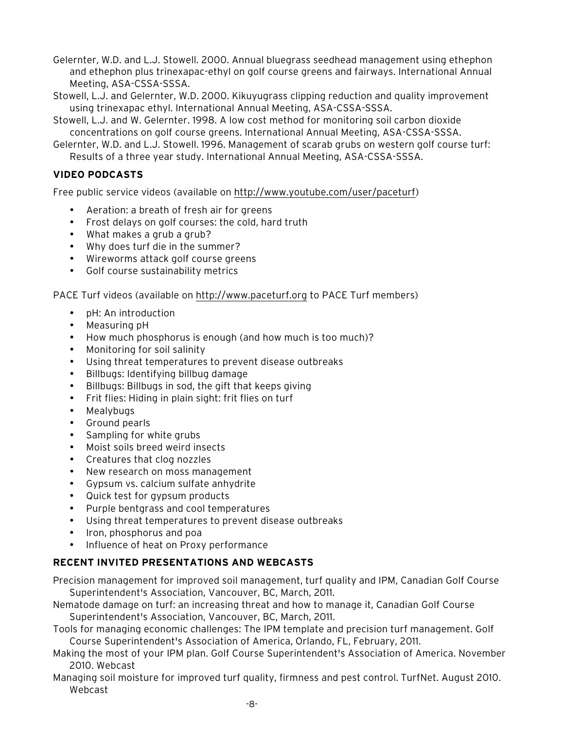Gelernter, W.D. and L.J. Stowell. 2000. Annual bluegrass seedhead management using ethephon and ethephon plus trinexapac-ethyl on golf course greens and fairways. International Annual Meeting, ASA-CSSA-SSSA.

Stowell, L.J. and Gelernter, W.D. 2000. Kikuyugrass clipping reduction and quality improvement using trinexapac ethyl. International Annual Meeting, ASA-CSSA-SSSA.

Stowell, L.J. and W. Gelernter. 1998. A low cost method for monitoring soil carbon dioxide concentrations on golf course greens. International Annual Meeting, ASA-CSSA-SSSA.

Gelernter, W.D. and L.J. Stowell. 1996. Management of scarab grubs on western golf course turf: Results of a three year study. International Annual Meeting, ASA-CSSA-SSSA.

## **VIDEO PODCASTS**

Free public service videos (available on http://www.youtube.com/user/paceturf)

- Aeration: a breath of fresh air for greens
- Frost delays on golf courses: the cold, hard truth
- What makes a grub a grub?
- Why does turf die in the summer?
- Wireworms attack golf course greens
- Golf course sustainability metrics

PACE Turf videos (available on http://www.paceturf.org to PACE Turf members)

- pH: An introduction
- Measuring pH
- How much phosphorus is enough (and how much is too much)?
- Monitoring for soil salinity
- Using threat temperatures to prevent disease outbreaks
- Billbugs: Identifying billbug damage
- Billbugs: Billbugs in sod, the gift that keeps giving
- Frit flies: Hiding in plain sight: frit flies on turf
- Mealybugs
- Ground pearls
- Sampling for white grubs
- Moist soils breed weird insects
- Creatures that clog nozzles
- New research on moss management
- Gypsum vs. calcium sulfate anhydrite
- Quick test for gypsum products
- Purple bentgrass and cool temperatures
- Using threat temperatures to prevent disease outbreaks
- Iron, phosphorus and poa
- Influence of heat on Proxy performance

# **RECENT INVITED PRESENTATIONS AND WEBCASTS**

Precision management for improved soil management, turf quality and IPM, Canadian Golf Course Superintendent's Association, Vancouver, BC, March, 2011.

- Nematode damage on turf: an increasing threat and how to manage it, Canadian Golf Course Superintendent's Association, Vancouver, BC, March, 2011.
- Tools for managing economic challenges: The IPM template and precision turf management. Golf Course Superintendent's Association of America, Orlando, FL, February, 2011.
- Making the most of your IPM plan. Golf Course Superintendent's Association of America. November 2010. Webcast
- Managing soil moisture for improved turf quality, firmness and pest control. TurfNet. August 2010. Webcast